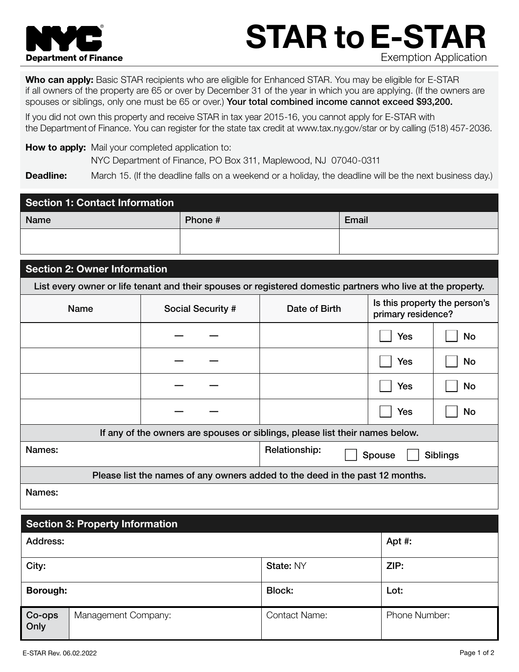

# STAR to E-STAR Exemption Application

Who can apply: Basic STAR recipients who are eligible for Enhanced STAR. You may be eligible for E-STAR if all owners of the property are 65 or over by December 31 of the year in which you are applying. (If the owners are spouses or siblings, only one must be 65 or over.) Your total combined income cannot exceed \$93,200.

If you did not own this property and receive STAR in tax year 2015-16, you cannot apply for E-STAR with the Department of Finance. You can register for the state tax credit at www.tax.ny.gov/star or by calling (518) 457-2036.

How to apply: Mail your completed application to: NYC Department of Finance, PO Box 311, Maplewood, NJ 07040-0311

**Deadline:** March 15. (If the deadline falls on a weekend or a holiday, the deadline will be the next business day.)

| <b>Section 1: Contact Information</b> |         |       |  |  |  |
|---------------------------------------|---------|-------|--|--|--|
| <b>Name</b>                           | Phone # | Email |  |  |  |
|                                       |         |       |  |  |  |

## Section 2: Owner Information

List every owner or life tenant and their spouses or registered domestic partners who live at the property.

| <b>Name</b>                                                                  | <b>Social Security #</b> | Date of Birth                              | Is this property the person's<br>primary residence? |           |  |  |
|------------------------------------------------------------------------------|--------------------------|--------------------------------------------|-----------------------------------------------------|-----------|--|--|
|                                                                              |                          |                                            | <b>Yes</b>                                          | No        |  |  |
|                                                                              |                          |                                            | <b>Yes</b>                                          | <b>No</b> |  |  |
|                                                                              |                          |                                            | <b>Yes</b>                                          | <b>No</b> |  |  |
|                                                                              |                          |                                            | <b>Yes</b>                                          | <b>No</b> |  |  |
| If any of the owners are spouses or siblings, please list their names below. |                          |                                            |                                                     |           |  |  |
| Names:                                                                       |                          | Relationship:<br>Spouse<br><b>Siblings</b> |                                                     |           |  |  |
| Please list the names of any owners added to the deed in the past 12 months. |                          |                                            |                                                     |           |  |  |
| Names:                                                                       |                          |                                            |                                                     |           |  |  |

| <b>Section 3: Property Information</b> |                     |                      |                      |  |  |  |
|----------------------------------------|---------------------|----------------------|----------------------|--|--|--|
| <b>Address:</b>                        |                     |                      | Apt $#$ :            |  |  |  |
| City:                                  |                     | State: NY            | ZIP:                 |  |  |  |
| Borough:                               |                     | <b>Block:</b>        | Lot:                 |  |  |  |
| Co-ops<br>Only                         | Management Company: | <b>Contact Name:</b> | <b>Phone Number:</b> |  |  |  |